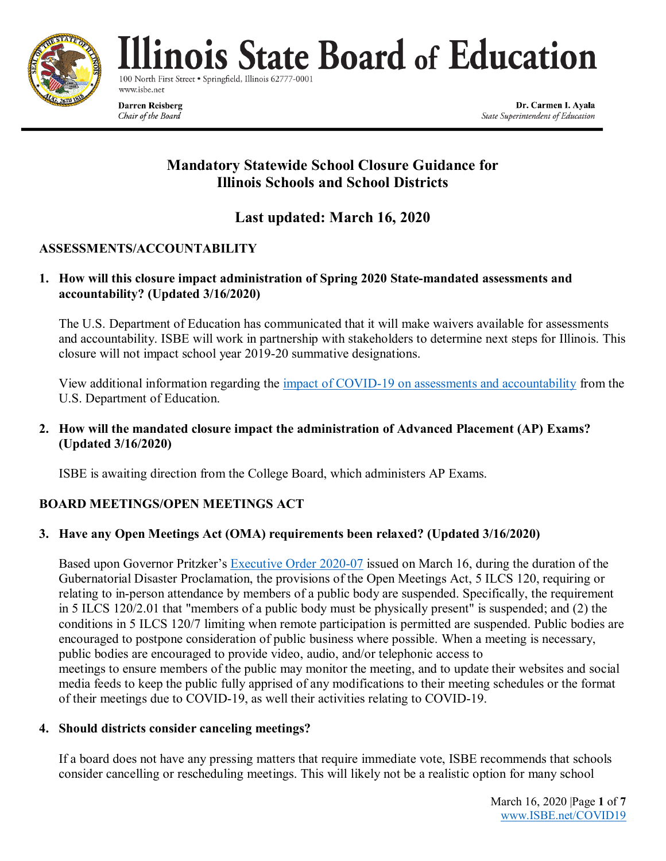

linois State Board of Education

100 North First Street . Springfield, Illinois 62777-00 www.isbe.net

**Darren Reisberg** Chair of the Board

Dr. Carmen I. Ayala State Superintendent of Education

# **Mandatory Statewide School Closure Guidance for Illinois Schools and School Districts**

# **Last updated: March 16, 2020**

# **ASSESSMENTS/ACCOUNTABILITY**

# **1. How will this closure impact administration of Spring 2020 State-mandated assessments and accountability? (Updated 3/16/2020)**

The U.S. Department of Education has communicated that it will make waivers available for assessments and accountability. ISBE will work in partnership with stakeholders to determine next steps for Illinois. This closure will not impact school year 2019-20 summative designations.

View additional information regarding the [impact of COVID-19 on assessments and accountability](https://oese.ed.gov/files/2020/03/COVID-19-OESE-FINAL-3.12.20.pdf) from the U.S. Department of Education.

**2. How will the mandated closure impact the administration of Advanced Placement (AP) Exams? (Updated 3/16/2020)**

ISBE is awaiting direction from the College Board, which administers AP Exams.

# **BOARD MEETINGS/OPEN MEETINGS ACT**

# **3. Have any Open Meetings Act (OMA) requirements been relaxed? (Updated 3/16/2020)**

Based upon Governor Pritzker's [Executive Order 2020-07](https://www.isbe.net/Documents/EO2020-07.pdf) issued on March 16, during the duration of the Gubernatorial Disaster Proclamation, the provisions of the Open Meetings Act, 5 ILCS 120, requiring or relating to in-person attendance by members of a public body are suspended. Specifically, the requirement in 5 ILCS 120/2.01 that "members of a public body must be physically present" is suspended; and (2) the conditions in 5 ILCS 120/7 limiting when remote participation is permitted are suspended. Public bodies are encouraged to postpone consideration of public business where possible. When a meeting is necessary, public bodies are encouraged to provide video, audio, and/or telephonic access to meetings to ensure members of the public may monitor the meeting, and to update their websites and social media feeds to keep the public fully apprised of any modifications to their meeting schedules or the format of their meetings due to COVID-19, as well their activities relating to COVID-19.

## **4. Should districts consider canceling meetings?**

If a board does not have any pressing matters that require immediate vote, ISBE recommends that schools consider cancelling or rescheduling meetings. This will likely not be a realistic option for many school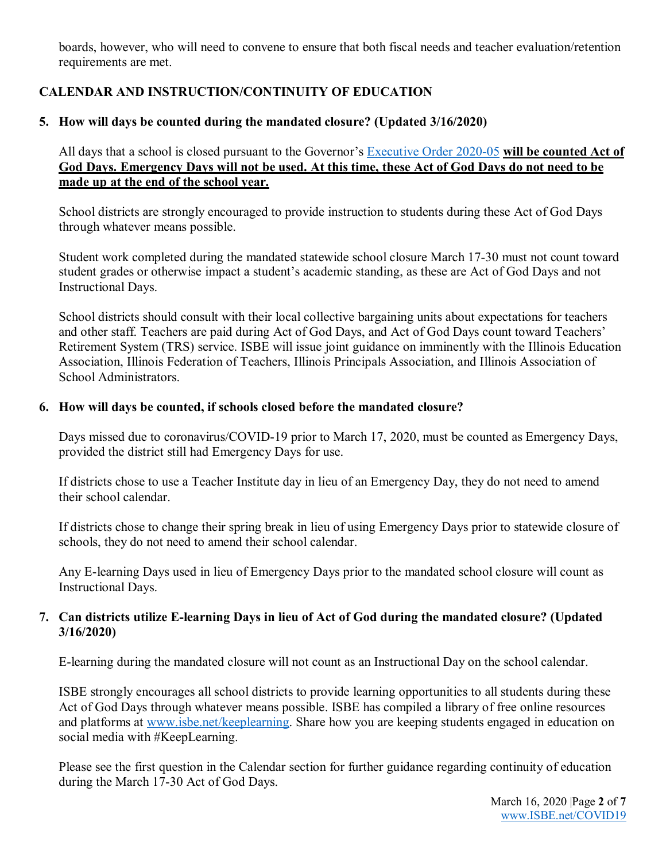boards, however, who will need to convene to ensure that both fiscal needs and teacher evaluation/retention requirements are met.

# **CALENDAR AND INSTRUCTION/CONTINUITY OF EDUCATION**

# **5. How will days be counted during the mandated closure? (Updated 3/16/2020)**

All days that a school is closed pursuant to the Governor's [Executive Order 2020-05](https://www.isbe.net/Documents/EO2020-05.pdf) **will be counted Act of God Days. Emergency Days will not be used. At this time, these Act of God Days do not need to be made up at the end of the school year.**

School districts are strongly encouraged to provide instruction to students during these Act of God Days through whatever means possible.

Student work completed during the mandated statewide school closure March 17-30 must not count toward student grades or otherwise impact a student's academic standing, as these are Act of God Days and not Instructional Days.

School districts should consult with their local collective bargaining units about expectations for teachers and other staff. Teachers are paid during Act of God Days, and Act of God Days count toward Teachers' Retirement System (TRS) service. ISBE will issue joint guidance on imminently with the Illinois Education Association, Illinois Federation of Teachers, Illinois Principals Association, and Illinois Association of School Administrators.

## **6. How will days be counted, if schools closed before the mandated closure?**

Days missed due to coronavirus/COVID-19 prior to March 17, 2020, must be counted as Emergency Days, provided the district still had Emergency Days for use.

If districts chose to use a Teacher Institute day in lieu of an Emergency Day, they do not need to amend their school calendar.

If districts chose to change their spring break in lieu of using Emergency Days prior to statewide closure of schools, they do not need to amend their school calendar.

Any E-learning Days used in lieu of Emergency Days prior to the mandated school closure will count as Instructional Days.

## **7. Can districts utilize E-learning Days in lieu of Act of God during the mandated closure? (Updated 3/16/2020)**

E-learning during the mandated closure will not count as an Instructional Day on the school calendar.

ISBE strongly encourages all school districts to provide learning opportunities to all students during these Act of God Days through whatever means possible. ISBE has compiled a library of free online resources and platforms at [www.isbe.net/keeplearning.](http://www.isbe.net/keeplearning) Share how you are keeping students engaged in education on social media with #KeepLearning.

Please see the first question in the Calendar section for further guidance regarding continuity of education during the March 17-30 Act of God Days.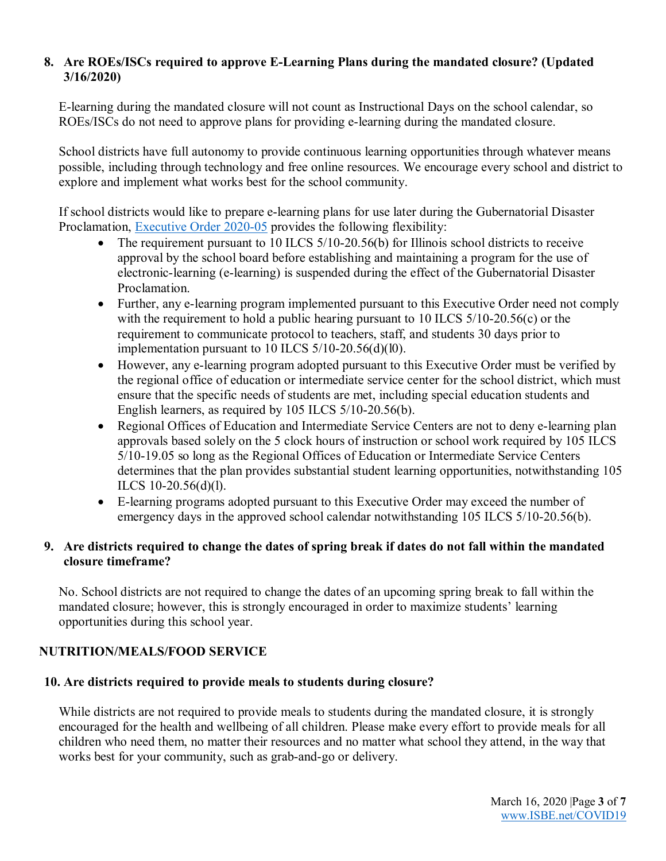# **8. Are ROEs/ISCs required to approve E-Learning Plans during the mandated closure? (Updated 3/16/2020)**

E-learning during the mandated closure will not count as Instructional Days on the school calendar, so ROEs/ISCs do not need to approve plans for providing e-learning during the mandated closure.

School districts have full autonomy to provide continuous learning opportunities through whatever means possible, including through technology and free online resources. We encourage every school and district to explore and implement what works best for the school community.

If school districts would like to prepare e-learning plans for use later during the Gubernatorial Disaster Proclamation, **Executive Order 2020-05** provides the following flexibility:

- The requirement pursuant to 10 ILCS  $5/10-20.56(b)$  for Illinois school districts to receive approval by the school board before establishing and maintaining a program for the use of electronic-learning (e-learning) is suspended during the effect of the Gubernatorial Disaster Proclamation.
- Further, any e-learning program implemented pursuant to this Executive Order need not comply with the requirement to hold a public hearing pursuant to 10 ILCS 5/10-20.56(c) or the requirement to communicate protocol to teachers, staff, and students 30 days prior to implementation pursuant to 10 ILCS 5/10-20.56(d)(l0).
- However, any e-learning program adopted pursuant to this Executive Order must be verified by the regional office of education or intermediate service center for the school district, which must ensure that the specific needs of students are met, including special education students and English learners, as required by 105 ILCS 5/10-20.56(b).
- Regional Offices of Education and Intermediate Service Centers are not to deny e-learning plan approvals based solely on the 5 clock hours of instruction or school work required by 105 ILCS 5/10-19.05 so long as the Regional Offices of Education or Intermediate Service Centers determines that the plan provides substantial student learning opportunities, notwithstanding 105 ILCS 10-20.56(d)(l).
- E-learning programs adopted pursuant to this Executive Order may exceed the number of emergency days in the approved school calendar notwithstanding 105 ILCS 5/10-20.56(b).

# **9. Are districts required to change the dates of spring break if dates do not fall within the mandated closure timeframe?**

No. School districts are not required to change the dates of an upcoming spring break to fall within the mandated closure; however, this is strongly encouraged in order to maximize students' learning opportunities during this school year.

# **NUTRITION/MEALS/FOOD SERVICE**

## **10. Are districts required to provide meals to students during closure?**

While districts are not required to provide meals to students during the mandated closure, it is strongly encouraged for the health and wellbeing of all children. Please make every effort to provide meals for all children who need them, no matter their resources and no matter what school they attend, in the way that works best for your community, such as grab-and-go or delivery.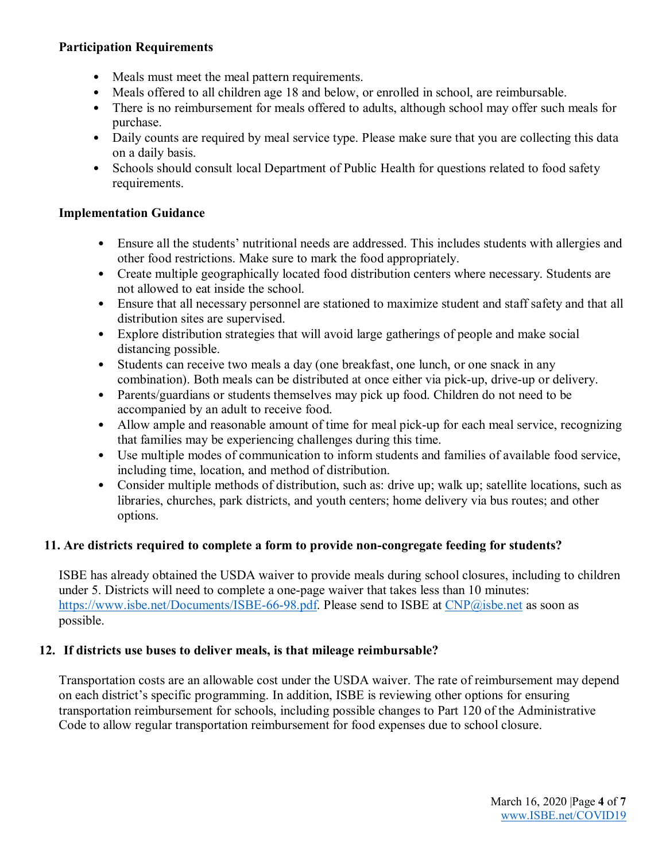### **Participation Requirements**

- Meals must meet the meal pattern requirements.
- Meals offered to all children age 18 and below, or enrolled in school, are reimbursable.
- There is no reimbursement for meals offered to adults, although school may offer such meals for purchase.
- Daily counts are required by meal service type. Please make sure that you are collecting this data on a daily basis.
- Schools should consult local Department of Public Health for questions related to food safety requirements.

## **Implementation Guidance**

- Ensure all the students' nutritional needs are addressed. This includes students with allergies and other food restrictions. Make sure to mark the food appropriately.
- Create multiple geographically located food distribution centers where necessary. Students are not allowed to eat inside the school.
- Ensure that all necessary personnel are stationed to maximize student and staff safety and that all distribution sites are supervised.
- Explore distribution strategies that will avoid large gatherings of people and make social distancing possible.
- Students can receive two meals a day (one breakfast, one lunch, or one snack in any combination). Both meals can be distributed at once either via pick-up, drive-up or delivery.
- Parents/guardians or students themselves may pick up food. Children do not need to be accompanied by an adult to receive food.
- Allow ample and reasonable amount of time for meal pick-up for each meal service, recognizing that families may be experiencing challenges during this time.
- Use multiple modes of communication to inform students and families of available food service, including time, location, and method of distribution.
- Consider multiple methods of distribution, such as: drive up; walk up; satellite locations, such as libraries, churches, park districts, and youth centers; home delivery via bus routes; and other options.

## **11. Are districts required to complete a form to provide non-congregate feeding for students?**

ISBE has already obtained the USDA waiver to provide meals during school closures, including to children under 5. Districts will need to complete a one-page waiver that takes less than 10 minutes: [https://www.isbe.net/Documents/ISBE-66-98.pdf.](https://www.isbe.net/Documents/ISBE-66-98.pdf) Please send to ISBE at [CNP@isbe.net](mailto:CNP@isbe.net) as soon as possible.

## **12. If districts use buses to deliver meals, is that mileage reimbursable?**

Transportation costs are an allowable cost under the USDA waiver. The rate of reimbursement may depend on each district's specific programming. In addition, ISBE is reviewing other options for ensuring transportation reimbursement for schools, including possible changes to Part 120 of the Administrative Code to allow regular transportation reimbursement for food expenses due to school closure.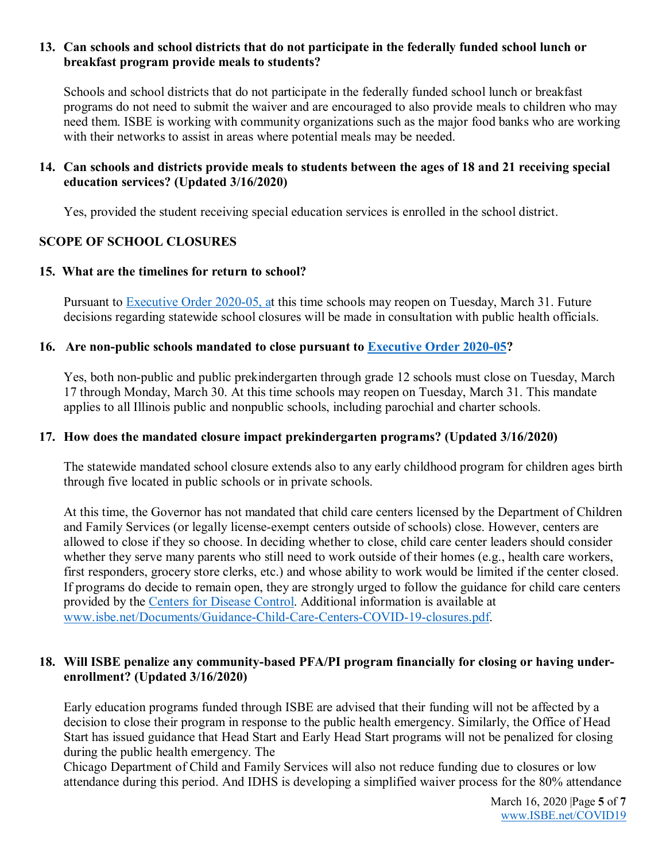### **13. Can schools and school districts that do not participate in the federally funded school lunch or breakfast program provide meals to students?**

Schools and school districts that do not participate in the federally funded school lunch or breakfast programs do not need to submit the waiver and are encouraged to also provide meals to children who may need them. ISBE is working with community organizations such as the major food banks who are working with their networks to assist in areas where potential meals may be needed.

#### **14. Can schools and districts provide meals to students between the ages of 18 and 21 receiving special education services? (Updated 3/16/2020)**

Yes, provided the student receiving special education services is enrolled in the school district.

## **SCOPE OF SCHOOL CLOSURES**

#### **15. What are the timelines for return to school?**

Pursuant to [Executive Order 2020-05,](https://www.isbe.net/Documents/EO2020-05.pdf) at this time schools may reopen on Tuesday, March 31. Future decisions regarding statewide school closures will be made in consultation with public health officials.

#### **16. Are non-public schools mandated to close pursuant to [Executive Order 2020-05?](https://www.isbe.net/Documents/EO2020-05.pdf)**

Yes, both non-public and public prekindergarten through grade 12 schools must close on Tuesday, March 17 through Monday, March 30. At this time schools may reopen on Tuesday, March 31. This mandate applies to all Illinois public and nonpublic schools, including parochial and charter schools.

#### **17. How does the mandated closure impact prekindergarten programs? (Updated 3/16/2020)**

The statewide mandated school closure extends also to any early childhood program for children ages birth through five located in public schools or in private schools.

At this time, the Governor has not mandated that child care centers licensed by the Department of Children and Family Services (or legally license-exempt centers outside of schools) close. However, centers are allowed to close if they so choose. In deciding whether to close, child care center leaders should consider whether they serve many parents who still need to work outside of their homes (e.g., health care workers, first responders, grocery store clerks, etc.) and whose ability to work would be limited if the center closed. If programs do decide to remain open, they are strongly urged to follow the guidance for child care centers provided by the [Centers for Disease Control.](https://www.cdc.gov/coronavirus/2019-ncov/community/schools-childcare/guidance-for-schools.html) Additional information is available at [www.isbe.net/Documents/Guidance-Child-Care-Centers-COVID-19-closures.pdf.](https://www.isbe.net/Documents/Guidance-Child-Care-Centers-COVID-19-closures.pdf)

#### **18. Will ISBE penalize any community-based PFA/PI program financially for closing or having underenrollment? (Updated 3/16/2020)**

Early education programs funded through ISBE are advised that their funding will not be affected by a decision to close their program in response to the public health emergency. Similarly, the Office of Head Start has issued guidance that Head Start and Early Head Start programs will not be penalized for closing during the public health emergency. The

Chicago Department of Child and Family Services will also not reduce funding due to closures or low attendance during this period. And IDHS is developing a simplified waiver process for the 80% attendance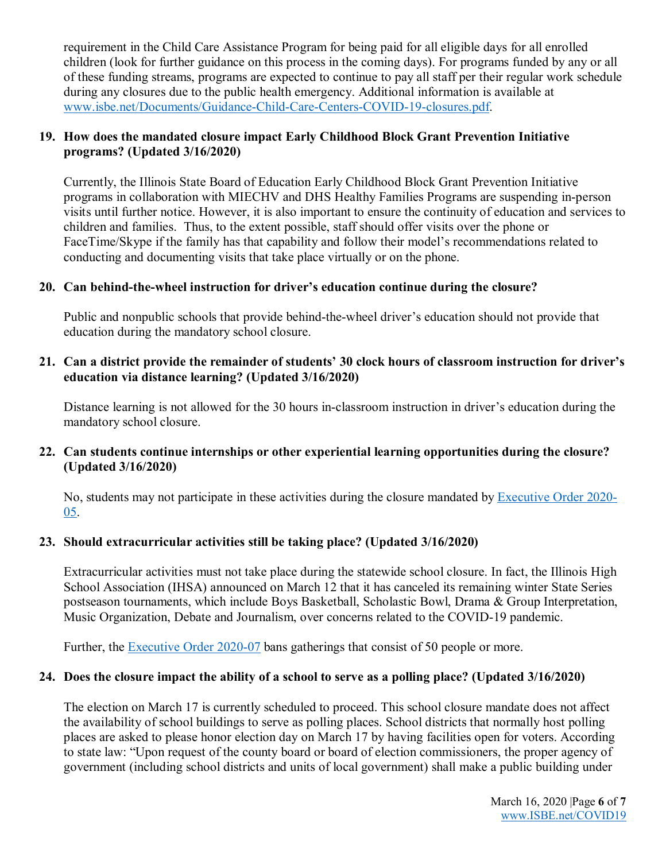requirement in the Child Care Assistance Program for being paid for all eligible days for all enrolled children (look for further guidance on this process in the coming days). For programs funded by any or all of these funding streams, programs are expected to continue to pay all staff per their regular work schedule during any closures due to the public health emergency. Additional information is available at [www.isbe.net/Documents/Guidance-Child-Care-Centers-COVID-19-closures.pdf.](https://www.isbe.net/Documents/Guidance-Child-Care-Centers-COVID-19-closures.pdf)

## **19. How does the mandated closure impact Early Childhood Block Grant Prevention Initiative programs? (Updated 3/16/2020)**

Currently, the Illinois State Board of Education Early Childhood Block Grant Prevention Initiative programs in collaboration with MIECHV and DHS Healthy Families Programs are suspending in-person visits until further notice. However, it is also important to ensure the continuity of education and services to children and families. Thus, to the extent possible, staff should offer visits over the phone or FaceTime/Skype if the family has that capability and follow their model's recommendations related to conducting and documenting visits that take place virtually or on the phone.

## **20. Can behind-the-wheel instruction for driver's education continue during the closure?**

Public and nonpublic schools that provide behind-the-wheel driver's education should not provide that education during the mandatory school closure.

# **21. Can a district provide the remainder of students' 30 clock hours of classroom instruction for driver's education via distance learning? (Updated 3/16/2020)**

Distance learning is not allowed for the 30 hours in-classroom instruction in driver's education during the mandatory school closure.

# **22. Can students continue internships or other experiential learning opportunities during the closure? (Updated 3/16/2020)**

No, students may not participate in these activities during the closure mandated by [Executive Order 2020-](https://www.isbe.net/Documents/EO2020-05.pdf) [05.](https://www.isbe.net/Documents/EO2020-05.pdf)

# **23. Should extracurricular activities still be taking place? (Updated 3/16/2020)**

Extracurricular activities must not take place during the statewide school closure. In fact, the Illinois High School Association (IHSA) announced on March 12 that it has canceled its remaining winter State Series postseason tournaments, which include Boys Basketball, Scholastic Bowl, Drama & Group Interpretation, Music Organization, Debate and Journalism, over concerns related to the COVID-19 pandemic.

Further, the [Executive Order 2020-07](https://www.isbe.net/Documents/EO2020-07.pdf) bans gatherings that consist of 50 people or more.

# **24. Does the closure impact the ability of a school to serve as a polling place? (Updated 3/16/2020)**

The election on March 17 is currently scheduled to proceed. This school closure mandate does not affect the availability of school buildings to serve as polling places. School districts that normally host polling places are asked to please honor election day on March 17 by having facilities open for voters. According to state law: "Upon request of the county board or board of election commissioners, the proper agency of government (including school districts and units of local government) shall make a public building under